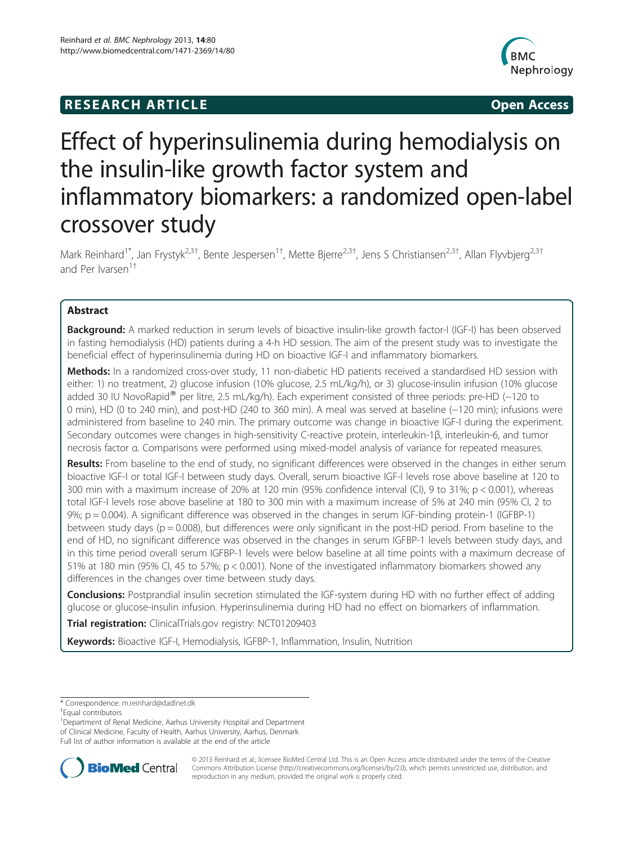# **RESEARCH ARTICLE Example 2018 12:00 Open Access**



# Effect of hyperinsulinemia during hemodialysis on the insulin-like growth factor system and inflammatory biomarkers: a randomized open-label crossover study

Mark Reinhard<sup>1\*</sup>, Jan Frystyk<sup>2,3†</sup>, Bente Jespersen<sup>1†</sup>, Mette Bjerre<sup>2,3†</sup>, Jens S Christiansen<sup>2,3†</sup>, Allan Flyvbjerg<sup>2,3†</sup> and Per Ivarsen<sup>1†</sup>

# Abstract

Background: A marked reduction in serum levels of bioactive insulin-like growth factor-I (IGF-I) has been observed in fasting hemodialysis (HD) patients during a 4-h HD session. The aim of the present study was to investigate the beneficial effect of hyperinsulinemia during HD on bioactive IGF-I and inflammatory biomarkers.

Methods: In a randomized cross-over study, 11 non-diabetic HD patients received a standardised HD session with either: 1) no treatment, 2) glucose infusion (10% glucose, 2.5 mL/kg/h), or 3) glucose-insulin infusion (10% glucose added 30 IU NovoRapid<sup>®</sup> per litre, 2.5 mL/kg/h). Each experiment consisted of three periods: pre-HD (−120 to 0 min), HD (0 to 240 min), and post-HD (240 to 360 min). A meal was served at baseline (−120 min); infusions were administered from baseline to 240 min. The primary outcome was change in bioactive IGF-I during the experiment. Secondary outcomes were changes in high-sensitivity C-reactive protein, interleukin-1β, interleukin-6, and tumor necrosis factor α. Comparisons were performed using mixed-model analysis of variance for repeated measures.

Results: From baseline to the end of study, no significant differences were observed in the changes in either serum bioactive IGF-I or total IGF-I between study days. Overall, serum bioactive IGF-I levels rose above baseline at 120 to 300 min with a maximum increase of 20% at 120 min (95% confidence interval (CI), 9 to 31%; p < 0.001), whereas total IGF-I levels rose above baseline at 180 to 300 min with a maximum increase of 5% at 240 min (95% CI, 2 to 9%; p = 0.004). A significant difference was observed in the changes in serum IGF-binding protein-1 (IGFBP-1) between study days (p = 0.008), but differences were only significant in the post-HD period. From baseline to the end of HD, no significant difference was observed in the changes in serum IGFBP-1 levels between study days, and in this time period overall serum IGFBP-1 levels were below baseline at all time points with a maximum decrease of 51% at 180 min (95% CI, 45 to 57%; p < 0.001). None of the investigated inflammatory biomarkers showed any differences in the changes over time between study days.

Conclusions: Postprandial insulin secretion stimulated the IGF-system during HD with no further effect of adding glucose or glucose-insulin infusion. Hyperinsulinemia during HD had no effect on biomarkers of inflammation.

Trial registration: ClinicalTrials.gov registry: [NCT01209403](http://clinicaltrials.gov/ct2/show/NCT01209403)

Keywords: Bioactive IGF-I, Hemodialysis, IGFBP-1, Inflammation, Insulin, Nutrition

<sup>1</sup> Department of Renal Medicine, Aarhus University Hospital and Department of Clinical Medicine, Faculty of Health, Aarhus University, Aarhus, Denmark Full list of author information is available at the end of the article



© 2013 Reinhard et al.; licensee BioMed Central Ltd. This is an Open Access article distributed under the terms of the Creative Commons Attribution License [\(http://creativecommons.org/licenses/by/2.0\)](http://creativecommons.org/licenses/by/2.0), which permits unrestricted use, distribution, and reproduction in any medium, provided the original work is properly cited.

<sup>\*</sup> Correspondence: [m.reinhard@dadlnet.dk](mailto:m.reinhard@dadlnet.dk) †

Equal contributors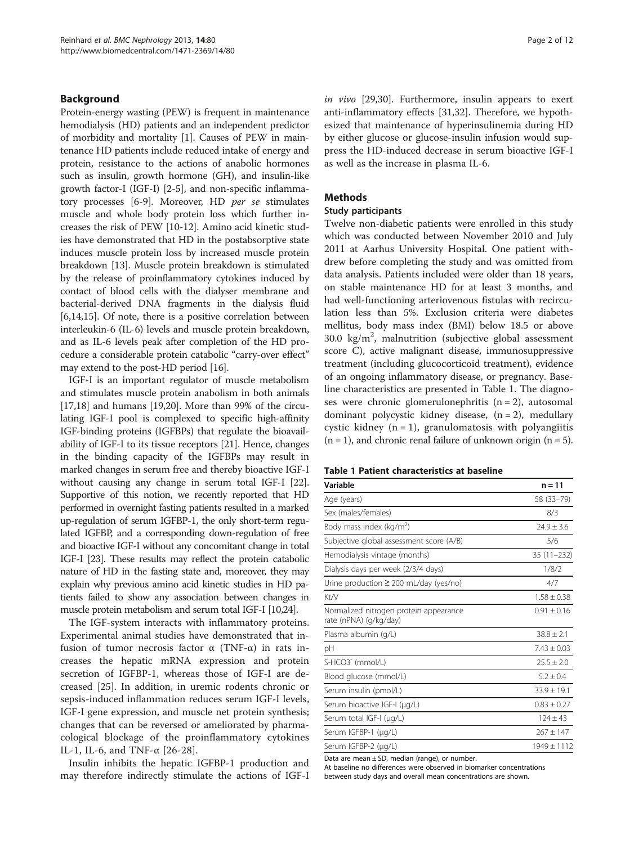# Background

Protein-energy wasting (PEW) is frequent in maintenance hemodialysis (HD) patients and an independent predictor of morbidity and mortality [\[1](#page-10-0)]. Causes of PEW in maintenance HD patients include reduced intake of energy and protein, resistance to the actions of anabolic hormones such as insulin, growth hormone (GH), and insulin-like growth factor-I (IGF-I) [[2-5\]](#page-10-0), and non-specific inflammatory processes [[6-9](#page-10-0)]. Moreover, HD per se stimulates muscle and whole body protein loss which further increases the risk of PEW [\[10-12\]](#page-10-0). Amino acid kinetic studies have demonstrated that HD in the postabsorptive state induces muscle protein loss by increased muscle protein breakdown [[13](#page-10-0)]. Muscle protein breakdown is stimulated by the release of proinflammatory cytokines induced by contact of blood cells with the dialyser membrane and bacterial-derived DNA fragments in the dialysis fluid [[6,14,15\]](#page-10-0). Of note, there is a positive correlation between interleukin-6 (IL-6) levels and muscle protein breakdown, and as IL-6 levels peak after completion of the HD procedure a considerable protein catabolic "carry-over effect" may extend to the post-HD period [\[16\]](#page-10-0).

IGF-I is an important regulator of muscle metabolism and stimulates muscle protein anabolism in both animals  $[17,18]$  $[17,18]$  $[17,18]$  and humans  $[19,20]$  $[19,20]$  $[19,20]$ . More than 99% of the circulating IGF-I pool is complexed to specific high-affinity IGF-binding proteins (IGFBPs) that regulate the bioavailability of IGF-I to its tissue receptors [[21](#page-10-0)]. Hence, changes in the binding capacity of the IGFBPs may result in marked changes in serum free and thereby bioactive IGF-I without causing any change in serum total IGF-I [[22](#page-10-0)]. Supportive of this notion, we recently reported that HD performed in overnight fasting patients resulted in a marked up-regulation of serum IGFBP-1, the only short-term regulated IGFBP, and a corresponding down-regulation of free and bioactive IGF-I without any concomitant change in total IGF-I [\[23](#page-10-0)]. These results may reflect the protein catabolic nature of HD in the fasting state and, moreover, they may explain why previous amino acid kinetic studies in HD patients failed to show any association between changes in muscle protein metabolism and serum total IGF-I [[10,24](#page-10-0)].

The IGF-system interacts with inflammatory proteins. Experimental animal studies have demonstrated that infusion of tumor necrosis factor α (TNF-α) in rats increases the hepatic mRNA expression and protein secretion of IGFBP-1, whereas those of IGF-I are decreased [\[25](#page-10-0)]. In addition, in uremic rodents chronic or sepsis-induced inflammation reduces serum IGF-I levels, IGF-I gene expression, and muscle net protein synthesis; changes that can be reversed or ameliorated by pharmacological blockage of the proinflammatory cytokines IL-1, IL-6, and TNF- $\alpha$  [\[26-28](#page-10-0)].

Insulin inhibits the hepatic IGFBP-1 production and may therefore indirectly stimulate the actions of IGF-I in vivo [[29,30\]](#page-10-0). Furthermore, insulin appears to exert anti-inflammatory effects [\[31,32\]](#page-10-0). Therefore, we hypothesized that maintenance of hyperinsulinemia during HD by either glucose or glucose-insulin infusion would suppress the HD-induced decrease in serum bioactive IGF-I as well as the increase in plasma IL-6.

# **Methods**

# Study participants

Twelve non-diabetic patients were enrolled in this study which was conducted between November 2010 and July 2011 at Aarhus University Hospital. One patient withdrew before completing the study and was omitted from data analysis. Patients included were older than 18 years, on stable maintenance HD for at least 3 months, and had well-functioning arteriovenous fistulas with recirculation less than 5%. Exclusion criteria were diabetes mellitus, body mass index (BMI) below 18.5 or above 30.0  $\text{kg/m}^2$ , malnutrition (subjective global assessment score C), active malignant disease, immunosuppressive treatment (including glucocorticoid treatment), evidence of an ongoing inflammatory disease, or pregnancy. Baseline characteristics are presented in Table 1. The diagnoses were chronic glomerulonephritis  $(n = 2)$ , autosomal dominant polycystic kidney disease,  $(n = 2)$ , medullary cystic kidney  $(n = 1)$ , granulomatosis with polyangiitis  $(n = 1)$ , and chronic renal failure of unknown origin  $(n = 5)$ .

| Table 1 Patient characteristics at baseline |  |  |  |
|---------------------------------------------|--|--|--|
|---------------------------------------------|--|--|--|

| Variable                                                         | $n = 11$        |
|------------------------------------------------------------------|-----------------|
| Age (years)                                                      | 58 (33-79)      |
| Sex (males/females)                                              | 8/3             |
| Body mass index (kg/m <sup>2</sup> )                             | $74.9 + 3.6$    |
| Subjective global assessment score (A/B)                         | 5/6             |
| Hemodialysis vintage (months)                                    | $35(11-232)$    |
| Dialysis days per week (2/3/4 days)                              | 1/8/2           |
| Urine production $\geq$ 200 mL/day (yes/no)                      | 4/7             |
| Kt/V                                                             | $1.58 + 0.38$   |
| Normalized nitrogen protein appearance<br>rate (nPNA) (g/kg/day) | $0.91 + 0.16$   |
| Plasma albumin (g/L)                                             | $38.8 + 2.1$    |
| pH                                                               | $7.43 \pm 0.03$ |
| S-HCO3 <sup>-</sup> (mmol/L)                                     | $25.5 + 2.0$    |
| Blood glucose (mmol/L)                                           | $5.2 \pm 0.4$   |
| Serum insulin (pmol/L)                                           | $33.9 \pm 19.1$ |
| Serum bioactive IGF-I (µg/L)                                     | $0.83 \pm 0.27$ |
| Serum total IGF-I (µg/L)                                         | $124 \pm 43$    |
| Serum IGFBP-1 (µg/L)                                             | $267 \pm 147$   |
| Serum IGFBP-2 (µg/L)                                             | $1949 + 1112$   |

Data are mean  $\pm$  SD, median (range), or number.

At baseline no differences were observed in biomarker concentrations between study days and overall mean concentrations are shown.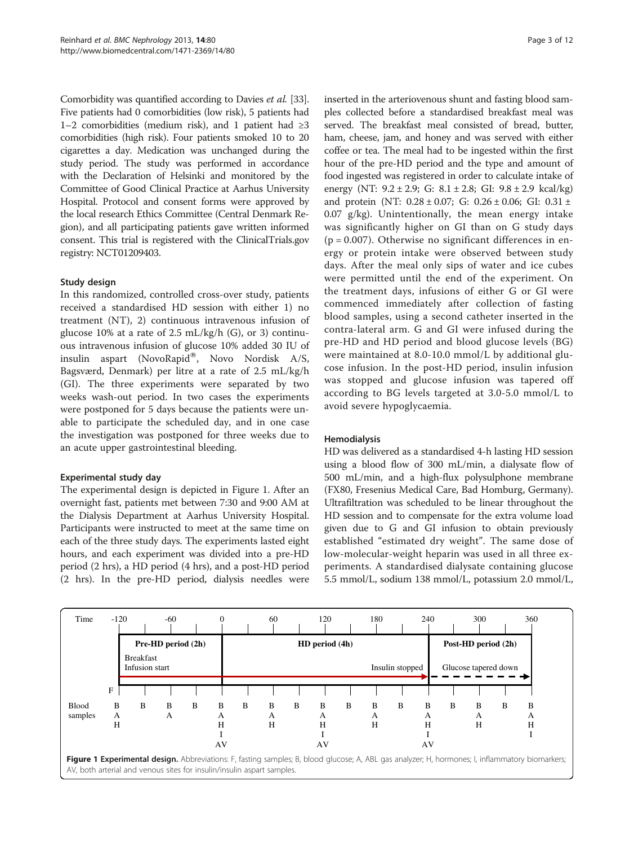Comorbidity was quantified according to Davies et al. [[33](#page-10-0)]. Five patients had 0 comorbidities (low risk), 5 patients had 1–2 comorbidities (medium risk), and 1 patient had ≥3 comorbidities (high risk). Four patients smoked 10 to 20 cigarettes a day. Medication was unchanged during the study period. The study was performed in accordance with the Declaration of Helsinki and monitored by the Committee of Good Clinical Practice at Aarhus University Hospital. Protocol and consent forms were approved by the local research Ethics Committee (Central Denmark Region), and all participating patients gave written informed consent. This trial is registered with the ClinicalTrials.gov registry: NCT01209403.

#### Study design

In this randomized, controlled cross-over study, patients received a standardised HD session with either 1) no treatment (NT), 2) continuous intravenous infusion of glucose 10% at a rate of 2.5 mL/kg/h  $(G)$ , or 3) continuous intravenous infusion of glucose 10% added 30 IU of insulin aspart (NovoRapid®, Novo Nordisk  $A/S$ , Bagsværd, Denmark) per litre at a rate of 2.5 mL/kg/h (GI). The three experiments were separated by two weeks wash-out period. In two cases the experiments were postponed for 5 days because the patients were unable to participate the scheduled day, and in one case the investigation was postponed for three weeks due to an acute upper gastrointestinal bleeding.

# Experimental study day

The experimental design is depicted in Figure 1. After an overnight fast, patients met between 7:30 and 9:00 AM at the Dialysis Department at Aarhus University Hospital. Participants were instructed to meet at the same time on each of the three study days. The experiments lasted eight hours, and each experiment was divided into a pre-HD period (2 hrs), a HD period (4 hrs), and a post-HD period (2 hrs). In the pre-HD period, dialysis needles were inserted in the arteriovenous shunt and fasting blood samples collected before a standardised breakfast meal was served. The breakfast meal consisted of bread, butter, ham, cheese, jam, and honey and was served with either coffee or tea. The meal had to be ingested within the first hour of the pre-HD period and the type and amount of food ingested was registered in order to calculate intake of energy (NT:  $9.2 \pm 2.9$ ; G:  $8.1 \pm 2.8$ ; GI:  $9.8 \pm 2.9$  kcal/kg) and protein (NT: 0.28 ± 0.07; G: 0.26 ± 0.06; GI: 0.31 ± 0.07 g/kg). Unintentionally, the mean energy intake was significantly higher on GI than on G study days  $(p = 0.007)$ . Otherwise no significant differences in energy or protein intake were observed between study days. After the meal only sips of water and ice cubes were permitted until the end of the experiment. On the treatment days, infusions of either G or GI were commenced immediately after collection of fasting blood samples, using a second catheter inserted in the contra-lateral arm. G and GI were infused during the pre-HD and HD period and blood glucose levels (BG) were maintained at 8.0-10.0 mmol/L by additional glucose infusion. In the post-HD period, insulin infusion was stopped and glucose infusion was tapered off according to BG levels targeted at 3.0-5.0 mmol/L to avoid severe hypoglycaemia.

# Hemodialysis

HD was delivered as a standardised 4-h lasting HD session using a blood flow of 300 mL/min, a dialysate flow of 500 mL/min, and a high-flux polysulphone membrane (FX80, Fresenius Medical Care, Bad Homburg, Germany). Ultrafiltration was scheduled to be linear throughout the HD session and to compensate for the extra volume load given due to G and GI infusion to obtain previously established "estimated dry weight". The same dose of low-molecular-weight heparin was used in all three experiments. A standardised dialysate containing glucose 5.5 mmol/L, sodium 138 mmol/L, potassium 2.0 mmol/L,

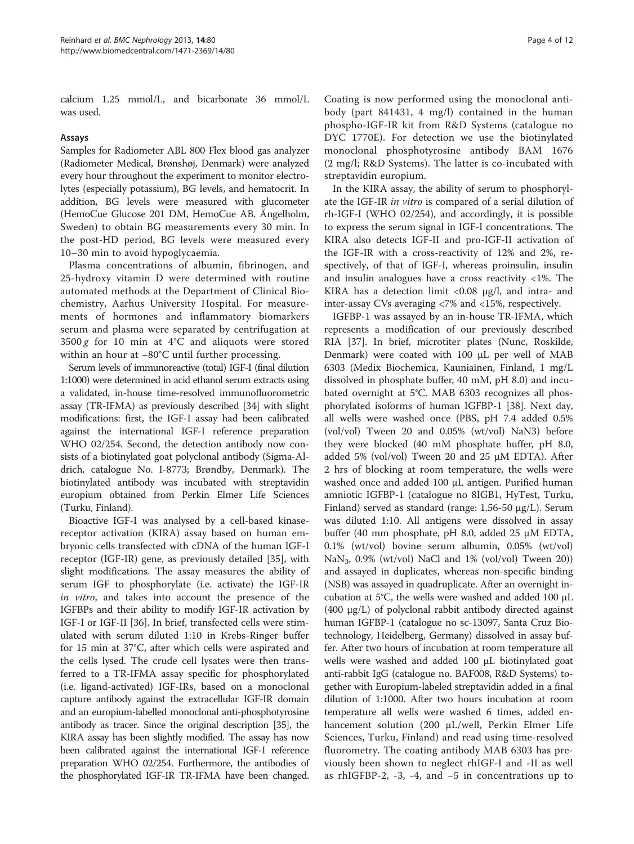calcium 1.25 mmol/L, and bicarbonate 36 mmol/L was used.

#### Assays

Samples for Radiometer ABL 800 Flex blood gas analyzer (Radiometer Medical, Brønshøj, Denmark) were analyzed every hour throughout the experiment to monitor electrolytes (especially potassium), BG levels, and hematocrit. In addition, BG levels were measured with glucometer (HemoCue Glucose 201 DM, HemoCue AB. Ängelholm, Sweden) to obtain BG measurements every 30 min. In the post-HD period, BG levels were measured every 10–30 min to avoid hypoglycaemia.

Plasma concentrations of albumin, fibrinogen, and 25-hydroxy vitamin D were determined with routine automated methods at the Department of Clinical Biochemistry, Aarhus University Hospital. For measurements of hormones and inflammatory biomarkers serum and plasma were separated by centrifugation at  $3500 g$  for 10 min at 4°C and aliquots were stored within an hour at −80°C until further processing.

Serum levels of immunoreactive (total) IGF-I (final dilution 1:1000) were determined in acid ethanol serum extracts using a validated, in-house time-resolved immunofluorometric assay (TR-IFMA) as previously described [\[34](#page-10-0)] with slight modifications: first, the IGF-I assay had been calibrated against the international IGF-I reference preparation WHO 02/254. Second, the detection antibody now consists of a biotinylated goat polyclonal antibody (Sigma-Aldrich, catalogue No. I-8773; Brøndby, Denmark). The biotinylated antibody was incubated with streptavidin europium obtained from Perkin Elmer Life Sciences (Turku, Finland).

Bioactive IGF-I was analysed by a cell-based kinasereceptor activation (KIRA) assay based on human embryonic cells transfected with cDNA of the human IGF-I receptor (IGF-IR) gene, as previously detailed [[35\]](#page-10-0), with slight modifications. The assay measures the ability of serum IGF to phosphorylate (i.e. activate) the IGF-IR in vitro, and takes into account the presence of the IGFBPs and their ability to modify IGF-IR activation by IGF-I or IGF-II [[36](#page-10-0)]. In brief, transfected cells were stimulated with serum diluted 1:10 in Krebs-Ringer buffer for 15 min at 37°C, after which cells were aspirated and the cells lysed. The crude cell lysates were then transferred to a TR-IFMA assay specific for phosphorylated (i.e. ligand-activated) IGF-IRs, based on a monoclonal capture antibody against the extracellular IGF-IR domain and an europium-labelled monoclonal anti-phosphotyrosine antibody as tracer. Since the original description [[35\]](#page-10-0), the KIRA assay has been slightly modified. The assay has now been calibrated against the international IGF-I reference preparation WHO 02/254. Furthermore, the antibodies of the phosphorylated IGF-IR TR-IFMA have been changed.

Coating is now performed using the monoclonal antibody (part 841431, 4 mg/l) contained in the human phospho-IGF-IR kit from R&D Systems (catalogue no DYC 1770E). For detection we use the biotinylated monoclonal phosphotyrosine antibody BAM 1676 (2 mg/l; R&D Systems). The latter is co-incubated with streptavidin europium.

In the KIRA assay, the ability of serum to phosphorylate the IGF-IR in vitro is compared of a serial dilution of rh-IGF-I (WHO 02/254), and accordingly, it is possible to express the serum signal in IGF-I concentrations. The KIRA also detects IGF-II and pro-IGF-II activation of the IGF-IR with a cross-reactivity of 12% and 2%, respectively, of that of IGF-I, whereas proinsulin, insulin and insulin analogues have a cross reactivity <1%. The KIRA has a detection limit <0.08 μg/l, and intra- and inter-assay CVs averaging <7% and <15%, respectively.

IGFBP-1 was assayed by an in-house TR-IFMA, which represents a modification of our previously described RIA [[37\]](#page-11-0). In brief, microtiter plates (Nunc, Roskilde, Denmark) were coated with 100 μL per well of MAB 6303 (Medix Biochemica, Kauniainen, Finland, 1 mg/L dissolved in phosphate buffer, 40 mM, pH 8.0) and incubated overnight at 5°C. MAB 6303 recognizes all phosphorylated isoforms of human IGFBP-1 [\[38](#page-11-0)]. Next day, all wells were washed once (PBS, pH 7.4 added 0.5% (vol/vol) Tween 20 and 0.05% (wt/vol) NaN3) before they were blocked (40 mM phosphate buffer, pH 8.0, added 5% (vol/vol) Tween 20 and 25 μM EDTA). After 2 hrs of blocking at room temperature, the wells were washed once and added 100 μL antigen. Purified human amniotic IGFBP-1 (catalogue no 8IGB1, HyTest, Turku, Finland) served as standard (range: 1.56-50 μg/L). Serum was diluted 1:10. All antigens were dissolved in assay buffer (40 mm phosphate, pH 8.0, added 25 μM EDTA, 0.1% (wt/vol) bovine serum albumin, 0.05% (wt/vol)  $\text{NaN}_3$ , 0.9% (wt/vol) NaCl and 1% (vol/vol) Tween 20)) and assayed in duplicates, whereas non-specific binding (NSB) was assayed in quadruplicate. After an overnight incubation at 5°C, the wells were washed and added 100 μL (400 μg/L) of polyclonal rabbit antibody directed against human IGFBP-1 (catalogue no sc-13097, Santa Cruz Biotechnology, Heidelberg, Germany) dissolved in assay buffer. After two hours of incubation at room temperature all wells were washed and added 100 μL biotinylated goat anti-rabbit IgG (catalogue no. BAF008, R&D Systems) together with Europium-labeled streptavidin added in a final dilution of 1:1000. After two hours incubation at room temperature all wells were washed 6 times, added enhancement solution (200 μL/well, Perkin Elmer Life Sciences, Turku, Finland) and read using time-resolved fluorometry. The coating antibody MAB 6303 has previously been shown to neglect rhIGF-I and -II as well as rhIGFBP-2, -3, -4, and −5 in concentrations up to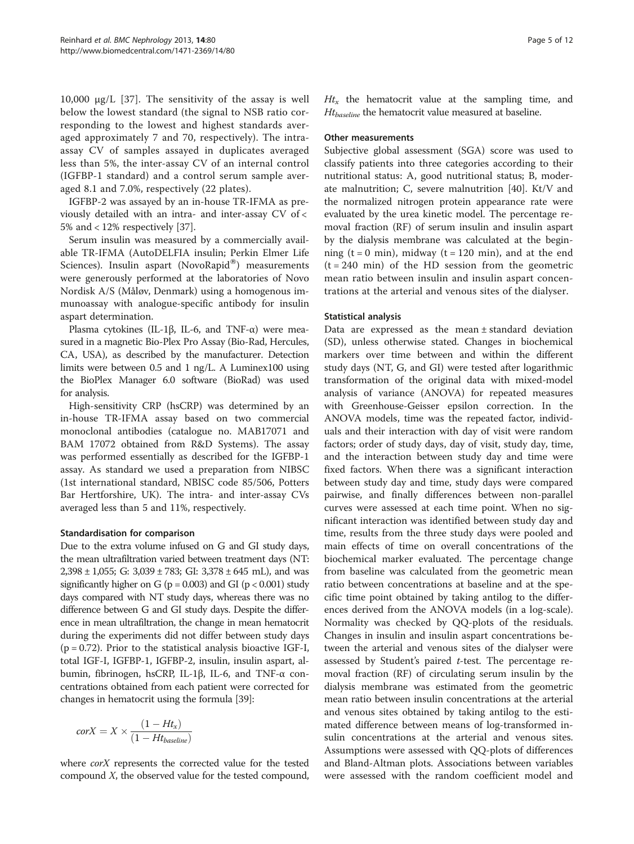10,000 μg/L [[37\]](#page-11-0). The sensitivity of the assay is well below the lowest standard (the signal to NSB ratio corresponding to the lowest and highest standards averaged approximately 7 and 70, respectively). The intraassay CV of samples assayed in duplicates averaged less than 5%, the inter-assay CV of an internal control (IGFBP-1 standard) and a control serum sample averaged 8.1 and 7.0%, respectively (22 plates).

IGFBP-2 was assayed by an in-house TR-IFMA as previously detailed with an intra- and inter-assay CV of < 5% and < 12% respectively [[37\]](#page-11-0).

Serum insulin was measured by a commercially available TR-IFMA (AutoDELFIA insulin; Perkin Elmer Life Sciences). Insulin aspart (NovoRapid $^{\circledR}$ ) measurements were generously performed at the laboratories of Novo Nordisk A/S (Måløv, Denmark) using a homogenous immunoassay with analogue-specific antibody for insulin aspart determination.

Plasma cytokines (IL-1β, IL-6, and TNF- $α$ ) were measured in a magnetic Bio-Plex Pro Assay (Bio-Rad, Hercules, CA, USA), as described by the manufacturer. Detection limits were between 0.5 and 1 ng/L. A Luminex100 using the BioPlex Manager 6.0 software (BioRad) was used for analysis.

High-sensitivity CRP (hsCRP) was determined by an in-house TR-IFMA assay based on two commercial monoclonal antibodies (catalogue no. MAB17071 and BAM 17072 obtained from R&D Systems). The assay was performed essentially as described for the IGFBP-1 assay. As standard we used a preparation from NIBSC (1st international standard, NBISC code 85/506, Potters Bar Hertforshire, UK). The intra- and inter-assay CVs averaged less than 5 and 11%, respectively.

#### Standardisation for comparison

Due to the extra volume infused on G and GI study days, the mean ultrafiltration varied between treatment days (NT: 2,398 ± 1,055; G: 3,039 ± 783; GI: 3,378 ± 645 mL), and was significantly higher on G ( $p = 0.003$ ) and GI ( $p < 0.001$ ) study days compared with NT study days, whereas there was no difference between G and GI study days. Despite the difference in mean ultrafiltration, the change in mean hematocrit during the experiments did not differ between study days  $(p = 0.72)$ . Prior to the statistical analysis bioactive IGF-I, total IGF-I, IGFBP-1, IGFBP-2, insulin, insulin aspart, albumin, fibrinogen, hsCRP, IL-1β, IL-6, and TNF-α concentrations obtained from each patient were corrected for changes in hematocrit using the formula [\[39\]](#page-11-0):

$$
corX = X \times \frac{(1 - Ht_x)}{(1 - Ht_{baseline})}
$$

where *corX* represents the corrected value for the tested compound X, the observed value for the tested compound,  $Ht<sub>x</sub>$  the hematocrit value at the sampling time, and  $Ht_{baseline}$  the hematocrit value measured at baseline.

#### Other measurements

Subjective global assessment (SGA) score was used to classify patients into three categories according to their nutritional status: A, good nutritional status; B, moderate malnutrition; C, severe malnutrition [[40](#page-11-0)]. Kt/V and the normalized nitrogen protein appearance rate were evaluated by the urea kinetic model. The percentage removal fraction (RF) of serum insulin and insulin aspart by the dialysis membrane was calculated at the beginning  $(t = 0 \text{ min})$ , midway  $(t = 120 \text{ min})$ , and at the end  $(t = 240 \text{ min})$  of the HD session from the geometric mean ratio between insulin and insulin aspart concentrations at the arterial and venous sites of the dialyser.

#### Statistical analysis

Data are expressed as the mean ± standard deviation (SD), unless otherwise stated. Changes in biochemical markers over time between and within the different study days (NT, G, and GI) were tested after logarithmic transformation of the original data with mixed-model analysis of variance (ANOVA) for repeated measures with Greenhouse-Geisser epsilon correction. In the ANOVA models, time was the repeated factor, individuals and their interaction with day of visit were random factors; order of study days, day of visit, study day, time, and the interaction between study day and time were fixed factors. When there was a significant interaction between study day and time, study days were compared pairwise, and finally differences between non-parallel curves were assessed at each time point. When no significant interaction was identified between study day and time, results from the three study days were pooled and main effects of time on overall concentrations of the biochemical marker evaluated. The percentage change from baseline was calculated from the geometric mean ratio between concentrations at baseline and at the specific time point obtained by taking antilog to the differences derived from the ANOVA models (in a log-scale). Normality was checked by QQ-plots of the residuals. Changes in insulin and insulin aspart concentrations between the arterial and venous sites of the dialyser were assessed by Student's paired t-test. The percentage removal fraction (RF) of circulating serum insulin by the dialysis membrane was estimated from the geometric mean ratio between insulin concentrations at the arterial and venous sites obtained by taking antilog to the estimated difference between means of log-transformed insulin concentrations at the arterial and venous sites. Assumptions were assessed with QQ-plots of differences and Bland-Altman plots. Associations between variables were assessed with the random coefficient model and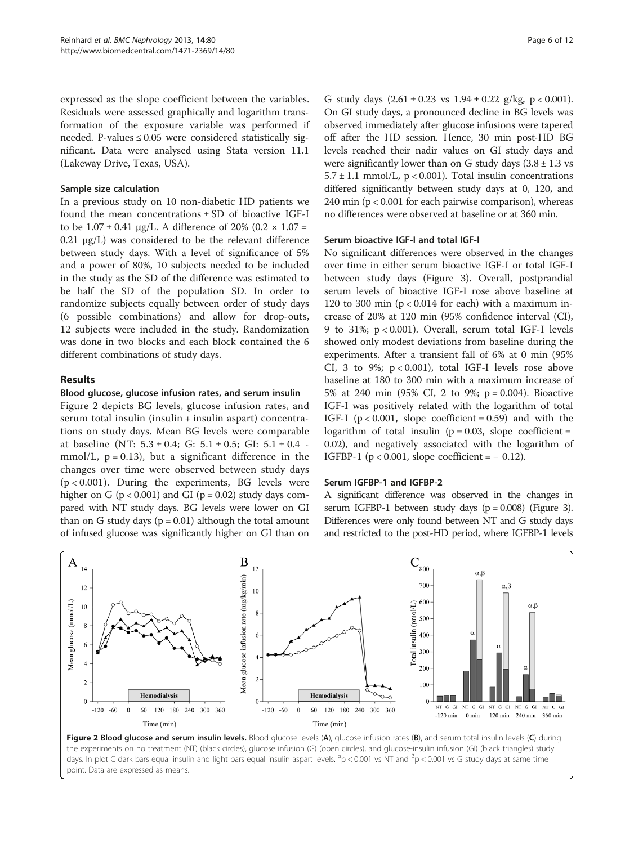expressed as the slope coefficient between the variables. Residuals were assessed graphically and logarithm transformation of the exposure variable was performed if needed. P-values  $\leq 0.05$  were considered statistically significant. Data were analysed using Stata version 11.1 (Lakeway Drive, Texas, USA).

#### Sample size calculation

In a previous study on 10 non-diabetic HD patients we found the mean concentrations ± SD of bioactive IGF-I to be  $1.07 \pm 0.41$  μg/L. A difference of 20% (0.2 × 1.07 =  $0.21 \mu$ g/L) was considered to be the relevant difference between study days. With a level of significance of 5% and a power of 80%, 10 subjects needed to be included in the study as the SD of the difference was estimated to be half the SD of the population SD. In order to randomize subjects equally between order of study days (6 possible combinations) and allow for drop-outs, 12 subjects were included in the study. Randomization was done in two blocks and each block contained the 6 different combinations of study days.

# Results

#### Blood glucose, glucose infusion rates, and serum insulin

Figure 2 depicts BG levels, glucose infusion rates, and serum total insulin (insulin + insulin aspart) concentrations on study days. Mean BG levels were comparable at baseline (NT:  $5.3 \pm 0.4$ ; G:  $5.1 \pm 0.5$ ; GI:  $5.1 \pm 0.4$  mmol/L,  $p = 0.13$ ), but a significant difference in the changes over time were observed between study days  $(p < 0.001)$ . During the experiments, BG levels were higher on G ( $p < 0.001$ ) and GI ( $p = 0.02$ ) study days compared with NT study days. BG levels were lower on GI than on G study days ( $p = 0.01$ ) although the total amount of infused glucose was significantly higher on GI than on

G study days  $(2.61 \pm 0.23 \text{ vs } 1.94 \pm 0.22 \text{ g/kg}, \text{ p} < 0.001).$ On GI study days, a pronounced decline in BG levels was observed immediately after glucose infusions were tapered off after the HD session. Hence, 30 min post-HD BG levels reached their nadir values on GI study days and were significantly lower than on G study days  $(3.8 \pm 1.3 \text{ vs } 1.3 \text{ or } 1.3 \text{ or } 1.3 \text{ or } 1.3 \text{ or } 1.3 \text{ or } 1.3 \text{ or } 1.3 \text{ or } 1.3 \text{ or } 1.3 \text{ or } 1.3 \text{ or } 1.3 \text{ or } 1.3 \text{ or } 1.3 \text{ or } 1.3 \text{ or } 1.3 \text{ or } 1.3 \text{ or } 1.3 \text{ or } 1.3 \text$  $5.7 \pm 1.1$  mmol/L, p < 0.001). Total insulin concentrations differed significantly between study days at 0, 120, and 240 min (p < 0.001 for each pairwise comparison), whereas no differences were observed at baseline or at 360 min.

#### Serum bioactive IGF-I and total IGF-I

No significant differences were observed in the changes over time in either serum bioactive IGF-I or total IGF-I between study days (Figure [3\)](#page-6-0). Overall, postprandial serum levels of bioactive IGF-I rose above baseline at 120 to 300 min ( $p < 0.014$  for each) with a maximum increase of 20% at 120 min (95% confidence interval (CI), 9 to 31%; p < 0.001). Overall, serum total IGF-I levels showed only modest deviations from baseline during the experiments. After a transient fall of 6% at 0 min (95% CI, 3 to 9%;  $p < 0.001$ ), total IGF-I levels rose above baseline at 180 to 300 min with a maximum increase of 5% at 240 min (95% CI, 2 to 9%; p = 0.004). Bioactive IGF-I was positively related with the logarithm of total IGF-I ( $p < 0.001$ , slope coefficient = 0.59) and with the logarithm of total insulin ( $p = 0.03$ , slope coefficient = 0.02), and negatively associated with the logarithm of IGFBP-1 ( $p < 0.001$ , slope coefficient =  $-0.12$ ).

#### Serum IGFBP-1 and IGFBP-2

A significant difference was observed in the changes in serum IGFBP-1 between study days  $(p = 0.008)$  (Figure [3\)](#page-6-0). Differences were only found between NT and G study days and restricted to the post-HD period, where IGFBP-1 levels



Figure 2 Blood glucose and serum insulin levels. Blood glucose levels (A), glucose infusion rates (B), and serum total insulin levels (C) during the experiments on no treatment (NT) (black circles), glucose infusion (G) (open circles), and glucose-insulin infusion (GI) (black triangles) study days. In plot C dark bars equal insulin and light bars equal insulin aspart levels. <sup>α</sup>p < 0.001 vs NT and  ${}^{B}p$  < 0.001 vs G study days at same time point. Data are expressed as means.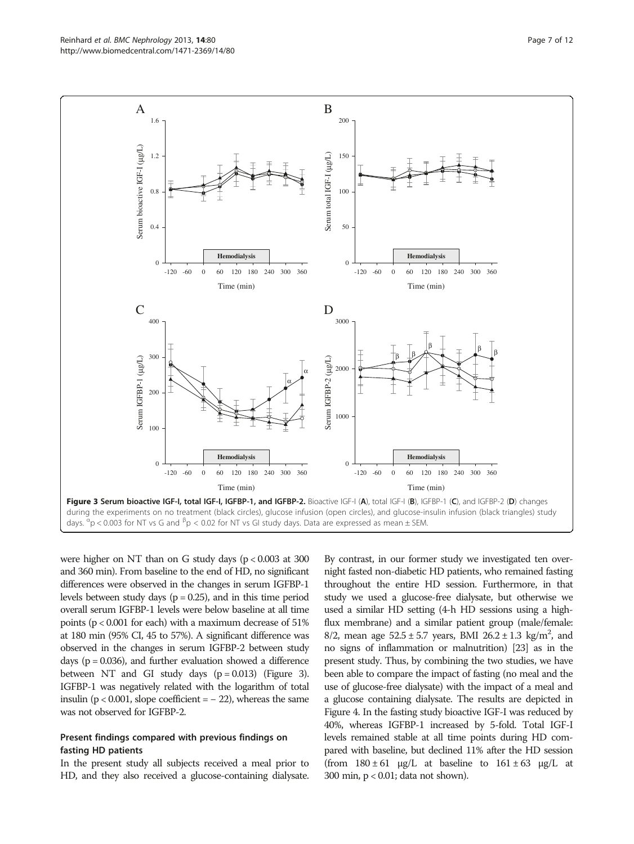were higher on NT than on G study days (p < 0.003 at 300 and 360 min). From baseline to the end of HD, no significant differences were observed in the changes in serum IGFBP-1 levels between study days ( $p = 0.25$ ), and in this time period overall serum IGFBP-1 levels were below baseline at all time points ( $p < 0.001$  for each) with a maximum decrease of 51% at 180 min (95% CI, 45 to 57%). A significant difference was observed in the changes in serum IGFBP-2 between study days ( $p = 0.036$ ), and further evaluation showed a difference between NT and GI study days  $(p = 0.013)$  (Figure 3). IGFBP-1 was negatively related with the logarithm of total insulin ( $p < 0.001$ , slope coefficient =  $-22$ ), whereas the same was not observed for IGFBP-2.

# Present findings compared with previous findings on fasting HD patients

In the present study all subjects received a meal prior to HD, and they also received a glucose-containing dialysate.

By contrast, in our former study we investigated ten overnight fasted non-diabetic HD patients, who remained fasting throughout the entire HD session. Furthermore, in that study we used a glucose-free dialysate, but otherwise we used a similar HD setting (4-h HD sessions using a highflux membrane) and a similar patient group (male/female: 8/2, mean age  $52.5 \pm 5.7$  years, BMI  $26.2 \pm 1.3$  kg/m<sup>2</sup>, and no signs of inflammation or malnutrition) [\[23\]](#page-10-0) as in the present study. Thus, by combining the two studies, we have been able to compare the impact of fasting (no meal and the use of glucose-free dialysate) with the impact of a meal and a glucose containing dialysate. The results are depicted in Figure [4](#page-7-0). In the fasting study bioactive IGF-I was reduced by 40%, whereas IGFBP-1 increased by 5-fold. Total IGF-I levels remained stable at all time points during HD compared with baseline, but declined 11% after the HD session (from  $180 \pm 61$  μg/L at baseline to  $161 \pm 63$  μg/L at 300 min, p < 0.01; data not shown).

<span id="page-6-0"></span>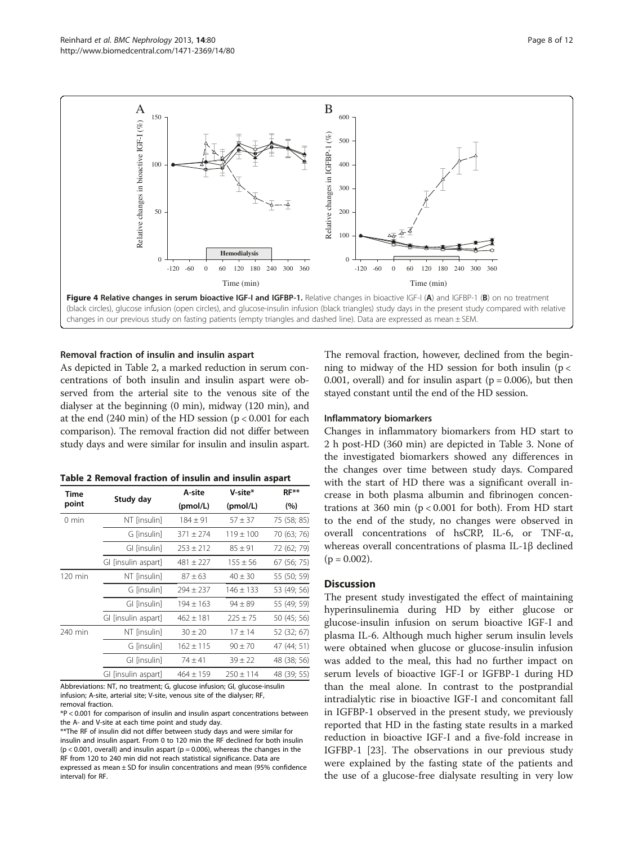<span id="page-7-0"></span>

#### Removal fraction of insulin and insulin aspart

As depicted in Table 2, a marked reduction in serum concentrations of both insulin and insulin aspart were observed from the arterial site to the venous site of the dialyser at the beginning (0 min), midway (120 min), and at the end  $(240 \text{ min})$  of the HD session  $(p < 0.001$  for each comparison). The removal fraction did not differ between study days and were similar for insulin and insulin aspart.

| Table 2 Removal fraction of insulin and insulin aspart |  |  |
|--------------------------------------------------------|--|--|
|--------------------------------------------------------|--|--|

| <b>Time</b>       |                     | A-site        | V-site*       | $RF**$      |  |
|-------------------|---------------------|---------------|---------------|-------------|--|
| point             | Study day           | (pmol/L)      | (pmol/L)      | (%)         |  |
| 0 min             | NT [insulin]        | $184 \pm 91$  | $57 + 37$     | 75 (58; 85) |  |
|                   | G [insulin]         | $371 \pm 274$ | $119 \pm 100$ | 70 (63; 76) |  |
|                   | GI [insulin]        | $253 \pm 212$ | $85 \pm 91$   | 72 (62; 79) |  |
|                   | GI [insulin aspart] | $481 \pm 227$ | $155 \pm 56$  | 67 (56; 75) |  |
| $120 \text{ min}$ | NT [insulin]        | $87 \pm 63$   | $40 \pm 30$   | 55 (50; 59) |  |
|                   | G [insulin]         | $294 \pm 237$ | $146 \pm 133$ | 53 (49; 56) |  |
|                   | GI [insulin]        | $194 \pm 163$ | $94 \pm 89$   | 55 (49; 59) |  |
|                   | GI [insulin aspart] | $462 \pm 181$ | $225 \pm 75$  | 50 (45; 56) |  |
| 240 min           | NT [insulin]        | $30 \pm 20$   | $17 + 14$     | 52 (32; 67) |  |
|                   | G [insulin]         | $162 \pm 115$ | $90 \pm 70$   | 47 (44; 51) |  |
|                   | GI [insulin]        | $74 \pm 41$   | $39 \pm 22$   | 48 (38; 56) |  |
|                   | GI finsulin aspart] | $464 \pm 159$ | $250 \pm 114$ | 48 (39; 55) |  |

Abbreviations: NT, no treatment; G, glucose infusion; GI, glucose-insulin infusion; A-site, arterial site; V-site, venous site of the dialyser; RF, removal fraction.

\*P < 0.001 for comparison of insulin and insulin aspart concentrations between the A- and V-site at each time point and study day.

\*\*The RF of insulin did not differ between study days and were similar for insulin and insulin aspart. From 0 to 120 min the RF declined for both insulin  $(p < 0.001$ , overall) and insulin aspart  $(p = 0.006)$ , whereas the changes in the RF from 120 to 240 min did not reach statistical significance. Data are expressed as mean ± SD for insulin concentrations and mean (95% confidence interval) for RF.

The removal fraction, however, declined from the beginning to midway of the HD session for both insulin ( $p <$ 0.001, overall) and for insulin aspart ( $p = 0.006$ ), but then stayed constant until the end of the HD session.

#### Inflammatory biomarkers

Changes in inflammatory biomarkers from HD start to 2 h post-HD (360 min) are depicted in Table [3](#page-8-0). None of the investigated biomarkers showed any differences in the changes over time between study days. Compared with the start of HD there was a significant overall increase in both plasma albumin and fibrinogen concentrations at 360 min  $(p < 0.001$  for both). From HD start to the end of the study, no changes were observed in overall concentrations of hsCRP, IL-6, or TNF-α, whereas overall concentrations of plasma IL-1β declined  $(p = 0.002)$ .

#### **Discussion**

The present study investigated the effect of maintaining hyperinsulinemia during HD by either glucose or glucose-insulin infusion on serum bioactive IGF-I and plasma IL-6. Although much higher serum insulin levels were obtained when glucose or glucose-insulin infusion was added to the meal, this had no further impact on serum levels of bioactive IGF-I or IGFBP-1 during HD than the meal alone. In contrast to the postprandial intradialytic rise in bioactive IGF-I and concomitant fall in IGFBP-1 observed in the present study, we previously reported that HD in the fasting state results in a marked reduction in bioactive IGF-I and a five-fold increase in IGFBP-1 [\[23\]](#page-10-0). The observations in our previous study were explained by the fasting state of the patients and the use of a glucose-free dialysate resulting in very low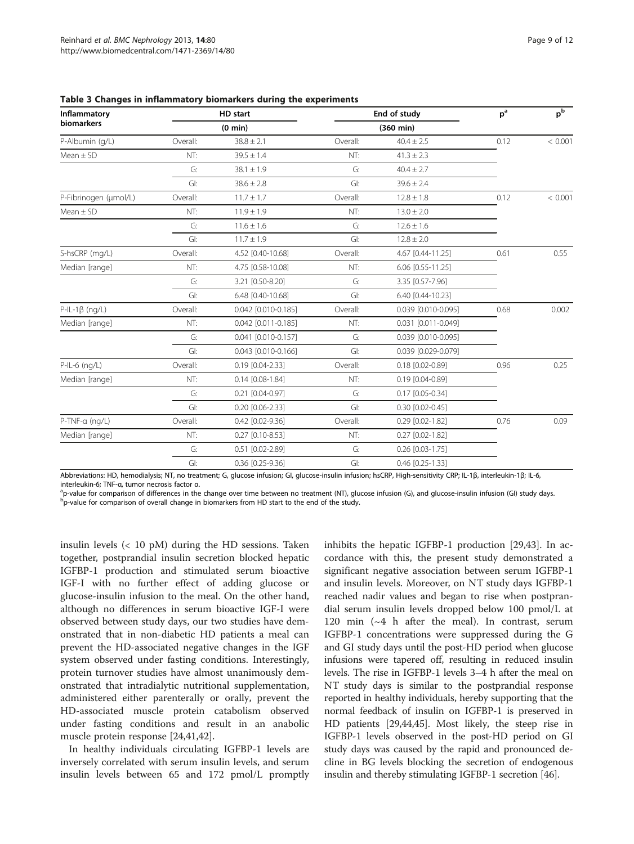| Inflammatory          |                   | HD start               | End of study        |                        | p <sup>a</sup> | $p^b$   |
|-----------------------|-------------------|------------------------|---------------------|------------------------|----------------|---------|
| <b>biomarkers</b>     | $(0 \text{ min})$ |                        | $(360 \text{ min})$ |                        |                |         |
| P-Albumin (g/L)       | Overall:          | $38.8 \pm 2.1$         | Overall:            | $40.4 \pm 2.5$         | 0.12           | < 0.001 |
| $Mean \pm SD$         | NT:               | $39.5 \pm 1.4$         | NT:                 | $41.3 \pm 2.3$         |                |         |
|                       | G:                | $38.1 \pm 1.9$         | G:                  | $40.4 \pm 2.7$         |                |         |
|                       | GI:               | $38.6 \pm 2.8$         | GI:                 | $39.6 \pm 2.4$         |                |         |
| P-Fibrinogen (µmol/L) | Overall:          | $11.7 \pm 1.7$         | Overall:            | $12.8 \pm 1.8$         | 0.12           | < 0.001 |
| $Mean \pm SD$         | NT:               | $11.9 \pm 1.9$         | NT:                 | $13.0 \pm 2.0$         |                |         |
|                       | G:                | $11.6 \pm 1.6$         | G:                  | $12.6 \pm 1.6$         |                |         |
|                       | GI:               | $11.7 \pm 1.9$         | $G$ :               | $12.8 \pm 2.0$         |                |         |
| S-hsCRP (mg/L)        | Overall:          | 4.52 [0.40-10.68]      | Overall:            | 4.67 [0.44-11.25]      | 0.61           | 0.55    |
| Median [range]        | NT:               | 4.75 [0.58-10.08]      | NT:                 | 6.06 [0.55-11.25]      |                |         |
|                       | G:                | 3.21 [0.50-8.20]       | G:                  | 3.35 [0.57-7.96]       |                |         |
|                       | GI:               | 6.48 [0.40-10.68]      | $G$ :               | 6.40 [0.44-10.23]      |                |         |
| $P-IL-1\beta$ (ng/L)  | Overall:          | 0.042 [0.010-0.185]    | Overall:            | 0.039 [0.010-0.095]    | 0.68           | 0.002   |
| Median [range]        | NT:               | 0.042 [0.011-0.185]    | NT:                 | 0.031 [0.011-0.049]    |                |         |
|                       | G:                | 0.041 [0.010-0.157]    | G:                  | 0.039 [0.010-0.095]    |                |         |
|                       | GI:               | 0.043 [0.010-0.166]    | GI:                 | 0.039 [0.029-0.079]    |                |         |
| $P$ -IL-6 (ng/L)      | Overall:          | 0.19 [0.04-2.33]       | Overall:            | 0.18 [0.02-0.89]       | 0.96           | 0.25    |
| Median [range]        | NT:               | $0.14$ $[0.08 - 1.84]$ | NT:                 | 0.19 [0.04-0.89]       |                |         |
|                       | G:                | 0.21 [0.04-0.97]       | G:                  | $0.17$ $[0.05 - 0.34]$ |                |         |
|                       | GI:               | 0.20 [0.06-2.33]       | $GI$ :              | $0.30$ $[0.02 - 0.45]$ |                |         |
| P-TNF-a (ng/L)        | Overall:          | 0.42 [0.02-9.36]       | Overall:            | $0.29$ $[0.02 - 1.82]$ | 0.76           | 0.09    |
| Median [range]        | NT:               | $0.27$ [0.10-8.53]     | NT:                 | $0.27$ $[0.02 - 1.82]$ |                |         |
|                       | G:                | 0.51 [0.02-2.89]       | G:                  | $0.26$ [0.03-1.75]     |                |         |
|                       | GI:               | 0.36 [0.25-9.36]       | GI:                 | 0.46 [0.25-1.33]       |                |         |

<span id="page-8-0"></span>

| Table 3 Changes in inflammatory biomarkers during the experiments |  |  |  |
|-------------------------------------------------------------------|--|--|--|
|-------------------------------------------------------------------|--|--|--|

Abbreviations: HD, hemodialysis; NT, no treatment; G, glucose infusion; Gl, glucose-insulin infusion; hsCRP, High-sensitivity CRP; IL-1β, interleukin-1β; IL-6, interleukin-1β; IL-6, interleukin-1β; IL-6, interleukin-6; TNF-α, tumor necrosis factor α.<br><sup>a</sup>n-value for comparison of differences in the

<sup>a</sup>p-value for comparison of differences in the change over time between no treatment (NT), glucose infusion (G), and glucose-insulin infusion (GI) study days.<br><sup>b</sup>ravalue for comparison of overall change in biomarkers from bp-value for comparison of overall change in biomarkers from HD start to the end of the study.

insulin levels (< 10 pM) during the HD sessions. Taken together, postprandial insulin secretion blocked hepatic IGFBP-1 production and stimulated serum bioactive IGF-I with no further effect of adding glucose or glucose-insulin infusion to the meal. On the other hand, although no differences in serum bioactive IGF-I were observed between study days, our two studies have demonstrated that in non-diabetic HD patients a meal can prevent the HD-associated negative changes in the IGF system observed under fasting conditions. Interestingly, protein turnover studies have almost unanimously demonstrated that intradialytic nutritional supplementation, administered either parenterally or orally, prevent the HD-associated muscle protein catabolism observed under fasting conditions and result in an anabolic muscle protein response [[24](#page-10-0),[41](#page-11-0),[42](#page-11-0)].

In healthy individuals circulating IGFBP-1 levels are inversely correlated with serum insulin levels, and serum insulin levels between 65 and 172 pmol/L promptly inhibits the hepatic IGFBP-1 production [\[29](#page-10-0)[,43\]](#page-11-0). In accordance with this, the present study demonstrated a significant negative association between serum IGFBP-1 and insulin levels. Moreover, on NT study days IGFBP-1 reached nadir values and began to rise when postprandial serum insulin levels dropped below 100 pmol/L at 120 min (~4 h after the meal). In contrast, serum IGFBP-1 concentrations were suppressed during the G and GI study days until the post-HD period when glucose infusions were tapered off, resulting in reduced insulin levels. The rise in IGFBP-1 levels 3–4 h after the meal on NT study days is similar to the postprandial response reported in healthy individuals, hereby supporting that the normal feedback of insulin on IGFBP-1 is preserved in HD patients [[29](#page-10-0)[,44,45\]](#page-11-0). Most likely, the steep rise in IGFBP-1 levels observed in the post-HD period on GI study days was caused by the rapid and pronounced decline in BG levels blocking the secretion of endogenous insulin and thereby stimulating IGFBP-1 secretion [\[46\]](#page-11-0).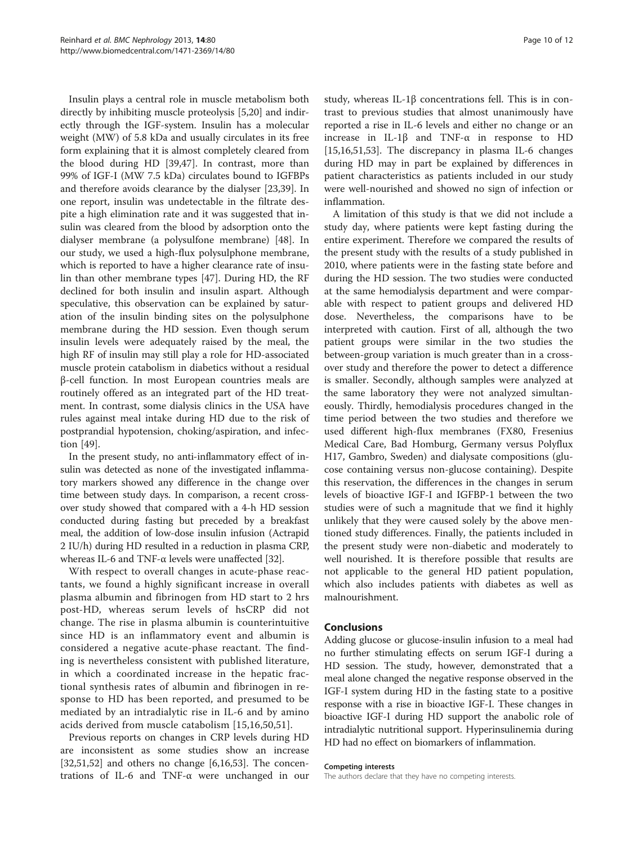Insulin plays a central role in muscle metabolism both directly by inhibiting muscle proteolysis [[5,20](#page-10-0)] and indirectly through the IGF-system. Insulin has a molecular weight (MW) of 5.8 kDa and usually circulates in its free form explaining that it is almost completely cleared from the blood during HD [[39,47](#page-11-0)]. In contrast, more than 99% of IGF-I (MW 7.5 kDa) circulates bound to IGFBPs and therefore avoids clearance by the dialyser [\[23](#page-10-0)[,39](#page-11-0)]. In one report, insulin was undetectable in the filtrate despite a high elimination rate and it was suggested that insulin was cleared from the blood by adsorption onto the dialyser membrane (a polysulfone membrane) [[48](#page-11-0)]. In our study, we used a high-flux polysulphone membrane, which is reported to have a higher clearance rate of insulin than other membrane types [\[47\]](#page-11-0). During HD, the RF declined for both insulin and insulin aspart. Although speculative, this observation can be explained by saturation of the insulin binding sites on the polysulphone membrane during the HD session. Even though serum insulin levels were adequately raised by the meal, the high RF of insulin may still play a role for HD-associated muscle protein catabolism in diabetics without a residual β-cell function. In most European countries meals are routinely offered as an integrated part of the HD treatment. In contrast, some dialysis clinics in the USA have rules against meal intake during HD due to the risk of postprandial hypotension, choking/aspiration, and infection [\[49\]](#page-11-0).

In the present study, no anti-inflammatory effect of insulin was detected as none of the investigated inflammatory markers showed any difference in the change over time between study days. In comparison, a recent crossover study showed that compared with a 4-h HD session conducted during fasting but preceded by a breakfast meal, the addition of low-dose insulin infusion (Actrapid 2 IU/h) during HD resulted in a reduction in plasma CRP, whereas IL-6 and TNF- $\alpha$  levels were unaffected [\[32\]](#page-10-0).

With respect to overall changes in acute-phase reactants, we found a highly significant increase in overall plasma albumin and fibrinogen from HD start to 2 hrs post-HD, whereas serum levels of hsCRP did not change. The rise in plasma albumin is counterintuitive since HD is an inflammatory event and albumin is considered a negative acute-phase reactant. The finding is nevertheless consistent with published literature, in which a coordinated increase in the hepatic fractional synthesis rates of albumin and fibrinogen in response to HD has been reported, and presumed to be mediated by an intradialytic rise in IL-6 and by amino acids derived from muscle catabolism [[15,16,](#page-10-0)[50,51](#page-11-0)].

Previous reports on changes in CRP levels during HD are inconsistent as some studies show an increase  $[32,51,52]$  $[32,51,52]$  $[32,51,52]$  and others no change  $[6,16,53]$  $[6,16,53]$  $[6,16,53]$  $[6,16,53]$  $[6,16,53]$ . The concentrations of IL-6 and TNF-α were unchanged in our

study, whereas IL-1β concentrations fell. This is in contrast to previous studies that almost unanimously have reported a rise in IL-6 levels and either no change or an increase in IL-1β and TNF-α in response to HD [[15,16,](#page-10-0)[51,53\]](#page-11-0). The discrepancy in plasma IL-6 changes during HD may in part be explained by differences in patient characteristics as patients included in our study were well-nourished and showed no sign of infection or inflammation.

A limitation of this study is that we did not include a study day, where patients were kept fasting during the entire experiment. Therefore we compared the results of the present study with the results of a study published in 2010, where patients were in the fasting state before and during the HD session. The two studies were conducted at the same hemodialysis department and were comparable with respect to patient groups and delivered HD dose. Nevertheless, the comparisons have to be interpreted with caution. First of all, although the two patient groups were similar in the two studies the between-group variation is much greater than in a crossover study and therefore the power to detect a difference is smaller. Secondly, although samples were analyzed at the same laboratory they were not analyzed simultaneously. Thirdly, hemodialysis procedures changed in the time period between the two studies and therefore we used different high-flux membranes (FX80, Fresenius Medical Care, Bad Homburg, Germany versus Polyflux H17, Gambro, Sweden) and dialysate compositions (glucose containing versus non-glucose containing). Despite this reservation, the differences in the changes in serum levels of bioactive IGF-I and IGFBP-1 between the two studies were of such a magnitude that we find it highly unlikely that they were caused solely by the above mentioned study differences. Finally, the patients included in the present study were non-diabetic and moderately to well nourished. It is therefore possible that results are not applicable to the general HD patient population, which also includes patients with diabetes as well as malnourishment.

# Conclusions

Adding glucose or glucose-insulin infusion to a meal had no further stimulating effects on serum IGF-I during a HD session. The study, however, demonstrated that a meal alone changed the negative response observed in the IGF-I system during HD in the fasting state to a positive response with a rise in bioactive IGF-I. These changes in bioactive IGF-I during HD support the anabolic role of intradialytic nutritional support. Hyperinsulinemia during HD had no effect on biomarkers of inflammation.

#### Competing interests

The authors declare that they have no competing interests.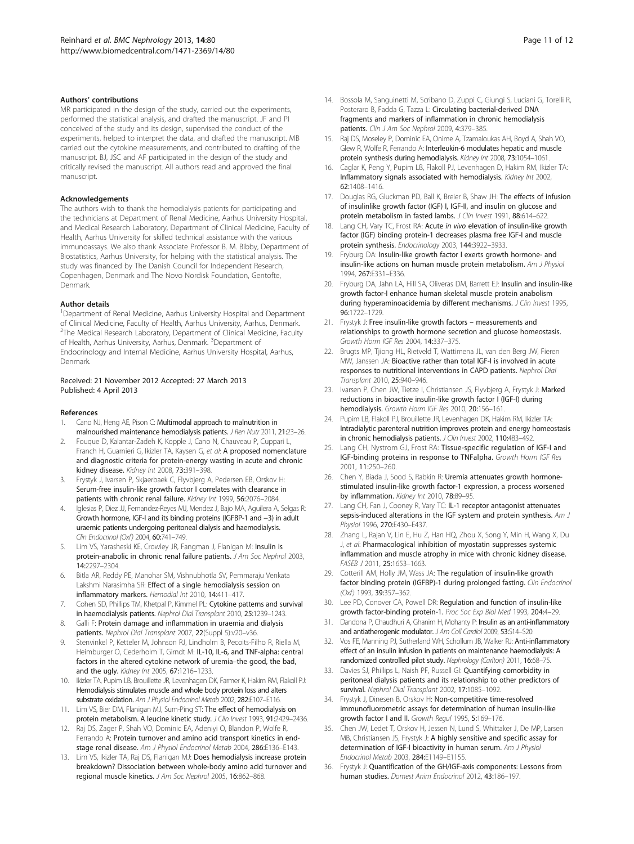#### <span id="page-10-0"></span>Authors' contributions

MR participated in the design of the study, carried out the experiments, performed the statistical analysis, and drafted the manuscript. JF and PI conceived of the study and its design, supervised the conduct of the experiments, helped to interpret the data, and drafted the manuscript. MB carried out the cytokine measurements, and contributed to drafting of the manuscript. BJ, JSC and AF participated in the design of the study and critically revised the manuscript. All authors read and approved the final manuscript.

#### Acknowledgements

The authors wish to thank the hemodialysis patients for participating and the technicians at Department of Renal Medicine, Aarhus University Hospital, and Medical Research Laboratory, Department of Clinical Medicine, Faculty of Health, Aarhus University for skilled technical assistance with the various immunoassays. We also thank Associate Professor B. M. Bibby, Department of Biostatistics, Aarhus University, for helping with the statistical analysis. The study was financed by The Danish Council for Independent Research, Copenhagen, Denmark and The Novo Nordisk Foundation, Gentofte, Denmark.

#### Author details

<sup>1</sup>Department of Renal Medicine, Aarhus University Hospital and Department of Clinical Medicine, Faculty of Health, Aarhus University, Aarhus, Denmark. <sup>2</sup>The Medical Research Laboratory, Department of Clinical Medicine, Faculty of Health, Aarhus University, Aarhus, Denmark. <sup>3</sup>Department of Endocrinology and Internal Medicine, Aarhus University Hospital, Aarhus, Denmark.

#### Received: 21 November 2012 Accepted: 27 March 2013 Published: 4 April 2013

#### References

- 1. Cano NJ, Heng AE, Pison C: Multimodal approach to malnutrition in malnourished maintenance hemodialysis patients. J Ren Nutr 2011, 21:23-26.
- 2. Fouque D, Kalantar-Zadeh K, Kopple J, Cano N, Chauveau P, Cuppari L, Franch H, Guarnieri G, Ikizler TA, Kaysen G, et al: A proposed nomenclature and diagnostic criteria for protein-energy wasting in acute and chronic kidney disease. Kidney Int 2008, 73:391-398.
- 3. Frystyk J, Ivarsen P, Skjaerbaek C, Flyvbjerg A, Pedersen EB, Orskov H: Serum-free insulin-like growth factor I correlates with clearance in patients with chronic renal failure. Kidney Int 1999, 56:2076–2084.
- 4. Iglesias P, Diez JJ, Fernandez-Reyes MJ, Mendez J, Bajo MA, Aguilera A, Selgas R: Growth hormone, IGF-I and its binding proteins (IGFBP-1 and −3) in adult uraemic patients undergoing peritoneal dialysis and haemodialysis. Clin Endocrinol (Oxf) 2004, 60:741–749.
- 5. Lim VS, Yarasheski KE, Crowley JR, Fangman J, Flanigan M: Insulin is protein-anabolic in chronic renal failure patients. J Am Soc Nephrol 2003, 14:2297–2304.
- 6. Bitla AR, Reddy PE, Manohar SM, Vishnubhotla SV, Pemmaraju Venkata Lakshmi Narasimha SR: Effect of a single hemodialysis session on inflammatory markers. Hemodial Int 2010, 14:411–417.
- 7. Cohen SD, Phillips TM, Khetpal P, Kimmel PL: Cytokine patterns and survival in haemodialysis patients. Nephrol Dial Transplant 2010, 25:1239–1243.
- 8. Galli F: Protein damage and inflammation in uraemia and dialysis patients. Nephrol Dial Transplant 2007, 22(Suppl 5):v20-v36.
- 9. Stenvinkel P, Ketteler M, Johnson RJ, Lindholm B, Pecoits-Filho R, Riella M, Heimburger O, Cederholm T, Girndt M: IL-10, IL-6, and TNF-alpha: central factors in the altered cytokine network of uremia–the good, the bad, and the ugly. Kidney Int 2005, 67:1216–1233.
- 10. Ikizler TA, Pupim LB, Brouillette JR, Levenhagen DK, Farmer K, Hakim RM, Flakoll PJ: Hemodialysis stimulates muscle and whole body protein loss and alters substrate oxidation. Am J Physiol Endocrinol Metab 2002, 282:E107-E116.
- 11. Lim VS, Bier DM, Flanigan MJ, Sum-Ping ST: The effect of hemodialysis on protein metabolism. A leucine kinetic study. J Clin Invest 1993, 91:2429-2436.
- 12. Raj DS, Zager P, Shah VO, Dominic EA, Adeniyi O, Blandon P, Wolfe R, Ferrando A: Protein turnover and amino acid transport kinetics in endstage renal disease. Am J Physiol Endocrinol Metab 2004, 286:E136-E143.
- 13. Lim VS, Ikizler TA, Raj DS, Flanigan MJ: Does hemodialysis increase protein breakdown? Dissociation between whole-body amino acid turnover and regional muscle kinetics. J Am Soc Nephrol 2005, 16:862–868.
- 14. Bossola M, Sanguinetti M, Scribano D, Zuppi C, Giungi S, Luciani G, Torelli R, Posteraro B, Fadda G, Tazza L: Circulating bacterial-derived DNA fragments and markers of inflammation in chronic hemodialysis patients. Clin J Am Soc Nephrol 2009, 4:379-385.
- 15. Raj DS, Moseley P, Dominic EA, Onime A, Tzamaloukas AH, Boyd A, Shah VO, Glew R, Wolfe R, Ferrando A: Interleukin-6 modulates hepatic and muscle protein synthesis during hemodialysis. Kidney Int 2008, 73:1054–1061.
- 16. Caglar K, Peng Y, Pupim LB, Flakoll PJ, Levenhagen D, Hakim RM, Ikizler TA: Inflammatory signals associated with hemodialysis. Kidney Int 2002, 62:1408–1416.
- 17. Douglas RG, Gluckman PD, Ball K, Breier B, Shaw JH: The effects of infusion of insulinlike growth factor (IGF) I, IGF-II, and insulin on glucose and protein metabolism in fasted lambs. J Clin Invest 1991, 88:614-622.
- 18. Lang CH, Vary TC, Frost RA: Acute in vivo elevation of insulin-like growth factor (IGF) binding protein-1 decreases plasma free IGF-I and muscle protein synthesis. Endocrinology 2003, 144:3922–3933.
- 19. Fryburg DA: Insulin-like growth factor I exerts growth hormone- and insulin-like actions on human muscle protein metabolism. Am J Physiol 1994, 267:E331–E336.
- 20. Fryburg DA, Jahn LA, Hill SA, Oliveras DM, Barrett EJ: Insulin and insulin-like growth factor-I enhance human skeletal muscle protein anabolism during hyperaminoacidemia by different mechanisms. J Clin Invest 1995, 96:1722–1729.
- 21. Frystyk J: Free insulin-like growth factors measurements and relationships to growth hormone secretion and glucose homeostasis. Growth Horm IGF Res 2004, 14:337–375.
- 22. Brugts MP, Tjiong HL, Rietveld T, Wattimena JL, van den Berg JW, Fieren MW, Janssen JA: Bioactive rather than total IGF-I is involved in acute responses to nutritional interventions in CAPD patients. Nephrol Dial Transplant 2010, 25:940–946.
- 23. Ivarsen P, Chen JW, Tietze I, Christiansen JS, Flyvbjerg A, Frystyk J: Marked reductions in bioactive insulin-like growth factor I (IGF-I) during hemodialysis. Growth Horm IGF Res 2010, 20:156-161.
- 24. Pupim LB, Flakoll PJ, Brouillette JR, Levenhagen DK, Hakim RM, Ikizler TA: Intradialytic parenteral nutrition improves protein and energy homeostasis in chronic hemodialysis patients. J Clin Invest 2002, 110:483-492.
- 25. Lang CH, Nystrom GJ, Frost RA: Tissue-specific regulation of IGF-I and IGF-binding proteins in response to TNFalpha. Growth Horm IGF Res 2001, 11:250–260.
- 26. Chen Y, Biada J, Sood S, Rabkin R: Uremia attenuates growth hormonestimulated insulin-like growth factor-1 expression, a process worsened by inflammation. Kidney Int 2010, 78:89-95.
- 27. Lang CH, Fan J, Cooney R, Vary TC: IL-1 receptor antagonist attenuates sepsis-induced alterations in the IGF system and protein synthesis. Am J Physiol 1996, 270:E430–E437.
- 28. Zhang L, Rajan V, Lin E, Hu Z, Han HQ, Zhou X, Song Y, Min H, Wang X, Du J, et al: Pharmacological inhibition of myostatin suppresses systemic inflammation and muscle atrophy in mice with chronic kidney disease. FASEB J 2011, 25:1653–1663.
- 29. Cotterill AM, Holly JM, Wass JA: The regulation of insulin-like growth factor binding protein (IGFBP)-1 during prolonged fasting. Clin Endocrinol (Oxf) 1993, 39:357–362.
- 30. Lee PD, Conover CA, Powell DR: Regulation and function of insulin-like growth factor-binding protein-1. Proc Soc Exp Biol Med 1993, 204:4–29.
- 31. Dandona P, Chaudhuri A, Ghanim H, Mohanty P: Insulin as an anti-inflammatory and antiatherogenic modulator. J Am Coll Cardiol 2009, 53:S14-S20.
- 32. Vos FE, Manning PJ, Sutherland WH, Schollum JB, Walker RJ: Anti-inflammatory effect of an insulin infusion in patients on maintenance haemodialysis: A randomized controlled pilot study. Nephrology (Carlton) 2011, 16:68–75.
- 33. Davies SJ, Phillips L, Naish PF, Russell GI: Quantifying comorbidity in peritoneal dialysis patients and its relationship to other predictors of survival. Nephrol Dial Transplant 2002, 17:1085–1092.
- 34. Frystyk J, Dinesen B, Orskov H: Non-competitive time-resolved immunofluorometric assays for determination of human insulin-like growth factor I and II. Growth Regul 1995, 5:169–176.
- 35. Chen JW, Ledet T, Orskov H, Jessen N, Lund S, Whittaker J, De MP, Larsen MB, Christiansen JS, Frystyk J: A highly sensitive and specific assay for determination of IGF-I bioactivity in human serum. Am J Physiol Endocrinol Metab 2003, 284:E1149–E1155.
- 36. Frystyk J: Quantification of the GH/IGF-axis components: Lessons from human studies. Domest Anim Endocrinol 2012, 43:186–197.